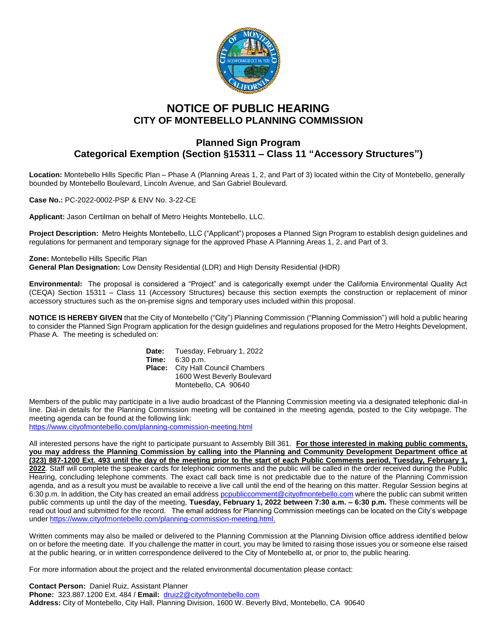

## **NOTICE OF PUBLIC HEARING CITY OF MONTEBELLO PLANNING COMMISSION**

## **Planned Sign Program Categorical Exemption (Section §15311 – Class 11 "Accessory Structures")**

**Location:** Montebello Hills Specific Plan – Phase A (Planning Areas 1, 2, and Part of 3) located within the City of Montebello, generally bounded by Montebello Boulevard, Lincoln Avenue, and San Gabriel Boulevard.

**Case No.:** PC-2022-0002-PSP & ENV No. 3-22-CE

**Applicant:** Jason Certilman on behalf of Metro Heights Montebello, LLC.

**Project Description:** Metro Heights Montebello, LLC ("Applicant") proposes a Planned Sign Program to establish design guidelines and regulations for permanent and temporary signage for the approved Phase A Planning Areas 1, 2, and Part of 3.

**Zone:** Montebello Hills Specific Plan **General Plan Designation:** Low Density Residential (LDR) and High Density Residential (HDR)

**Environmental:** The proposal is considered a "Project" and is categorically exempt under the California Environmental Quality Act (CEQA) Section 15311 – Class 11 (Accessory Structures) because this section exempts the construction or replacement of minor accessory structures such as the on-premise signs and temporary uses included within this proposal.

**NOTICE IS HEREBY GIVEN** that the City of Montebello ("City") Planning Commission ("Planning Commission") will hold a public hearing to consider the Planned Sign Program application for the design guidelines and regulations proposed for the Metro Heights Development, Phase A. The meeting is scheduled on:

| Date:  | Tuesday, February 1, 2022         |
|--------|-----------------------------------|
| Time:  | 6:30 p.m.                         |
| Place: | <b>City Hall Council Chambers</b> |
|        | 1600 West Beverly Boulevard       |
|        | Montebello, CA 90640              |

Members of the public may participate in a live audio broadcast of the Planning Commission meeting via a designated telephonic dial-in line. Dial-in details for the Planning Commission meeting will be contained in the meeting agenda, posted to the City webpage. The meeting agenda can be found at the following link:

<https://www.cityofmontebello.com/planning-commission-meeting.html>

All interested persons have the right to participate pursuant to Assembly Bill 361. **For those interested in making public comments, you may address the Planning Commission by calling into the Planning and Community Development Department office at (323) 887-1200 Ext. 493 until the day of the meeting prior to the start of each Public Comments period, Tuesday, February 1, 2022**. Staff will complete the speaker cards for telephonic comments and the public will be called in the order received during the Public Hearing, concluding telephone comments. The exact call back time is not predictable due to the nature of the Planning Commission agenda, and as a result you must be available to receive a live call until the end of the hearing on this matter. Regular Session begins at 6:30 p.m. In addition, the City has created an email addres[s pcpubliccomment@cityofmontebello.com](mailto:pcpubliccomment@cityofmontebello.com) where the public can submit written public comments up until the day of the meeting, **Tuesday, February 1, 2022 between 7:30 a.m. – 6:30 p.m.** These comments will be read out loud and submitted for the record. The email address for Planning Commission meetings can be located on the City's webpage unde[r https://www.cityofmontebello.com/planning-commission-meeting.html.](https://www.cityofmontebello.com/planning-commission-meeting.html)

Written comments may also be mailed or delivered to the Planning Commission at the Planning Division office address identified below on or before the meeting date. If you challenge the matter in court, you may be limited to raising those issues you or someone else raised at the public hearing, or in written correspondence delivered to the City of Montebello at, or prior to, the public hearing.

For more information about the project and the related environmental documentation please contact:

**Contact Person:** Daniel Ruiz, Assistant Planner **Phone:** 323.887.1200 Ext. 484 / **Email:** [druiz2@cityofmontebello.com](mailto:druiz2@cityofmontebello.com) **Address:** City of Montebello, City Hall, Planning Division, 1600 W. Beverly Blvd, Montebello, CA 90640